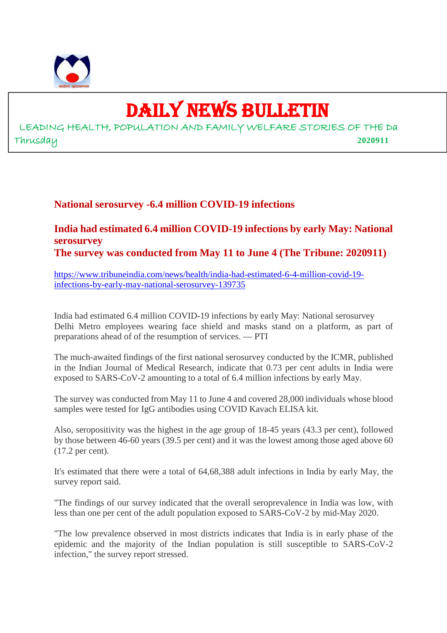

# DAILY NEWS BULLETIN

LEADING HEALTH, POPULATION AND FAMILY WELFARE STORIES OF THE Da Thrusday **2020911**

### **National serosurvey -6.4 million COVID-19 infections**

#### **India had estimated 6.4 million COVID-19 infections by early May: National serosurvey The survey was conducted from May 11 to June 4 (The Tribune: 2020911)**

https://www.tribuneindia.com/news/health/india-had-estimated-6-4-million-covid-19 infections-by-early-may-national-serosurvey-139735

India had estimated 6.4 million COVID-19 infections by early May: National serosurvey Delhi Metro employees wearing face shield and masks stand on a platform, as part of preparations ahead of of the resumption of services. — PTI

The much-awaited findings of the first national serosurvey conducted by the ICMR, published in the Indian Journal of Medical Research, indicate that 0.73 per cent adults in India were exposed to SARS-CoV-2 amounting to a total of 6.4 million infections by early May.

The survey was conducted from May 11 to June 4 and covered 28,000 individuals whose blood samples were tested for IgG antibodies using COVID Kavach ELISA kit.

Also, seropositivity was the highest in the age group of 18-45 years (43.3 per cent), followed by those between 46-60 years (39.5 per cent) and it was the lowest among those aged above 60 (17.2 per cent).

It's estimated that there were a total of 64,68,388 adult infections in India by early May, the survey report said.

"The findings of our survey indicated that the overall seroprevalence in India was low, with less than one per cent of the adult population exposed to SARS-CoV-2 by mid-May 2020.

"The low prevalence observed in most districts indicates that India is in early phase of the epidemic and the majority of the Indian population is still susceptible to SARS-CoV-2 infection," the survey report stressed.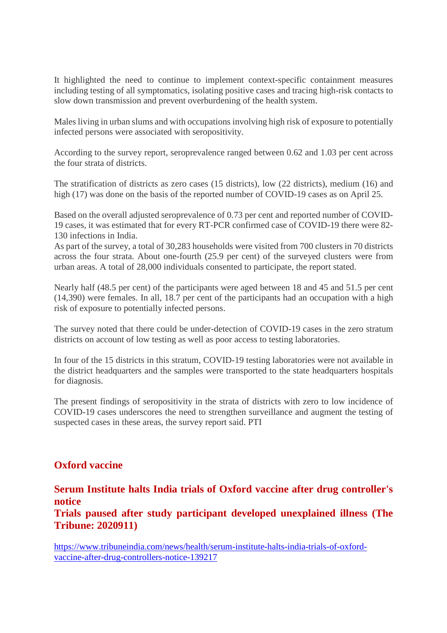It highlighted the need to continue to implement context-specific containment measures including testing of all symptomatics, isolating positive cases and tracing high-risk contacts to slow down transmission and prevent overburdening of the health system.

Males living in urban slums and with occupations involving high risk of exposure to potentially infected persons were associated with seropositivity.

According to the survey report, seroprevalence ranged between 0.62 and 1.03 per cent across the four strata of districts.

The stratification of districts as zero cases (15 districts), low (22 districts), medium (16) and high (17) was done on the basis of the reported number of COVID-19 cases as on April 25.

Based on the overall adjusted seroprevalence of 0.73 per cent and reported number of COVID-19 cases, it was estimated that for every RT-PCR confirmed case of COVID-19 there were 82- 130 infections in India.

As part of the survey, a total of 30,283 households were visited from 700 clusters in 70 districts across the four strata. About one-fourth (25.9 per cent) of the surveyed clusters were from urban areas. A total of 28,000 individuals consented to participate, the report stated.

Nearly half (48.5 per cent) of the participants were aged between 18 and 45 and 51.5 per cent (14,390) were females. In all, 18.7 per cent of the participants had an occupation with a high risk of exposure to potentially infected persons.

The survey noted that there could be under-detection of COVID-19 cases in the zero stratum districts on account of low testing as well as poor access to testing laboratories.

In four of the 15 districts in this stratum, COVID-19 testing laboratories were not available in the district headquarters and the samples were transported to the state headquarters hospitals for diagnosis.

The present findings of seropositivity in the strata of districts with zero to low incidence of COVID-19 cases underscores the need to strengthen surveillance and augment the testing of suspected cases in these areas, the survey report said. PTI

### **Oxford vaccine**

**Serum Institute halts India trials of Oxford vaccine after drug controller's notice**

**Trials paused after study participant developed unexplained illness (The Tribune: 2020911)**

https://www.tribuneindia.com/news/health/serum-institute-halts-india-trials-of-oxfordvaccine-after-drug-controllers-notice-139217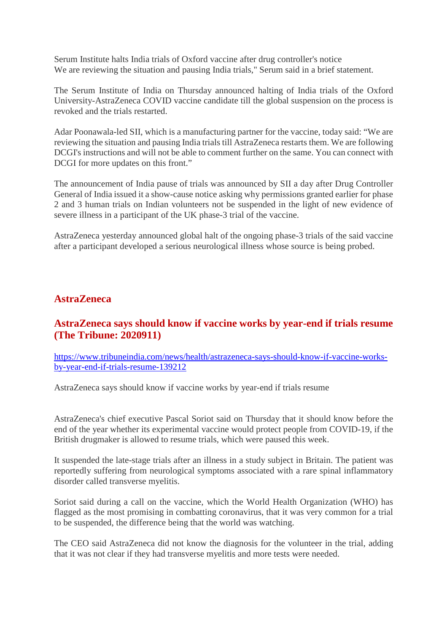Serum Institute halts India trials of Oxford vaccine after drug controller's notice We are reviewing the situation and pausing India trials," Serum said in a brief statement.

The Serum Institute of India on Thursday announced halting of India trials of the Oxford University-AstraZeneca COVID vaccine candidate till the global suspension on the process is revoked and the trials restarted.

Adar Poonawala-led SII, which is a manufacturing partner for the vaccine, today said: "We are reviewing the situation and pausing India trials till AstraZeneca restarts them. We are following DCGI's instructions and will not be able to comment further on the same. You can connect with DCGI for more updates on this front."

The announcement of India pause of trials was announced by SII a day after Drug Controller General of India issued it a show-cause notice asking why permissions granted earlier for phase 2 and 3 human trials on Indian volunteers not be suspended in the light of new evidence of severe illness in a participant of the UK phase-3 trial of the vaccine.

AstraZeneca yesterday announced global halt of the ongoing phase-3 trials of the said vaccine after a participant developed a serious neurological illness whose source is being probed.

#### **AstraZeneca**

#### **AstraZeneca says should know if vaccine works by year-end if trials resume (The Tribune: 2020911)**

https://www.tribuneindia.com/news/health/astrazeneca-says-should-know-if-vaccine-worksby-year-end-if-trials-resume-139212

AstraZeneca says should know if vaccine works by year-end if trials resume

AstraZeneca's chief executive Pascal Soriot said on Thursday that it should know before the end of the year whether its experimental vaccine would protect people from COVID-19, if the British drugmaker is allowed to resume trials, which were paused this week.

It suspended the late-stage trials after an illness in a study subject in Britain. The patient was reportedly suffering from neurological symptoms associated with a rare spinal inflammatory disorder called transverse myelitis.

Soriot said during a call on the vaccine, which the World Health Organization (WHO) has flagged as the most promising in combatting coronavirus, that it was very common for a trial to be suspended, the difference being that the world was watching.

The CEO said AstraZeneca did not know the diagnosis for the volunteer in the trial, adding that it was not clear if they had transverse myelitis and more tests were needed.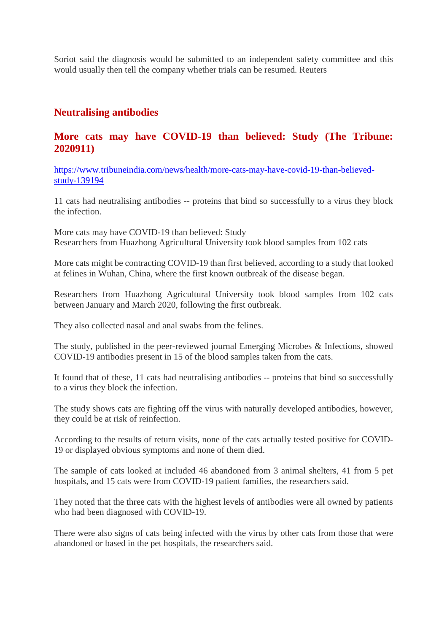Soriot said the diagnosis would be submitted to an independent safety committee and this would usually then tell the company whether trials can be resumed. Reuters

#### **Neutralising antibodies**

#### **More cats may have COVID-19 than believed: Study (The Tribune: 2020911)**

https://www.tribuneindia.com/news/health/more-cats-may-have-covid-19-than-believedstudy-139194

11 cats had neutralising antibodies -- proteins that bind so successfully to a virus they block the infection.

More cats may have COVID-19 than believed: Study Researchers from Huazhong Agricultural University took blood samples from 102 cats

More cats might be contracting COVID-19 than first believed, according to a study that looked at felines in Wuhan, China, where the first known outbreak of the disease began.

Researchers from Huazhong Agricultural University took blood samples from 102 cats between January and March 2020, following the first outbreak.

They also collected nasal and anal swabs from the felines.

The study, published in the peer-reviewed journal Emerging Microbes & Infections, showed COVID-19 antibodies present in 15 of the blood samples taken from the cats.

It found that of these, 11 cats had neutralising antibodies -- proteins that bind so successfully to a virus they block the infection.

The study shows cats are fighting off the virus with naturally developed antibodies, however, they could be at risk of reinfection.

According to the results of return visits, none of the cats actually tested positive for COVID-19 or displayed obvious symptoms and none of them died.

The sample of cats looked at included 46 abandoned from 3 animal shelters, 41 from 5 pet hospitals, and 15 cats were from COVID-19 patient families, the researchers said.

They noted that the three cats with the highest levels of antibodies were all owned by patients who had been diagnosed with COVID-19.

There were also signs of cats being infected with the virus by other cats from those that were abandoned or based in the pet hospitals, the researchers said.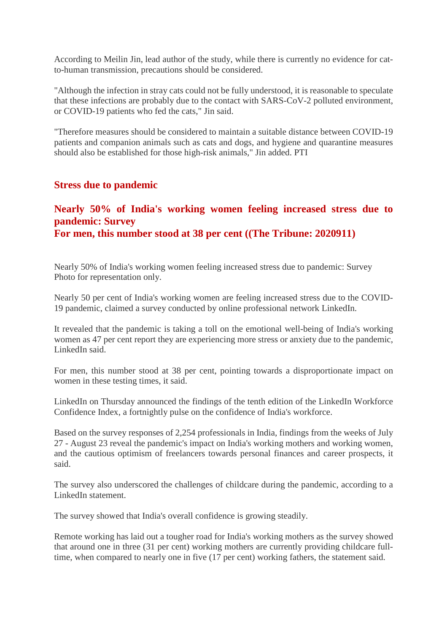According to Meilin Jin, lead author of the study, while there is currently no evidence for catto-human transmission, precautions should be considered.

"Although the infection in stray cats could not be fully understood, it is reasonable to speculate that these infections are probably due to the contact with SARS-CoV-2 polluted environment, or COVID-19 patients who fed the cats," Jin said.

"Therefore measures should be considered to maintain a suitable distance between COVID-19 patients and companion animals such as cats and dogs, and hygiene and quarantine measures should also be established for those high-risk animals," Jin added. PTI

#### **Stress due to pandemic**

#### **Nearly 50% of India's working women feeling increased stress due to pandemic: Survey For men, this number stood at 38 per cent ((The Tribune: 2020911)**

Nearly 50% of India's working women feeling increased stress due to pandemic: Survey Photo for representation only.

Nearly 50 per cent of India's working women are feeling increased stress due to the COVID-19 pandemic, claimed a survey conducted by online professional network LinkedIn.

It revealed that the pandemic is taking a toll on the emotional well-being of India's working women as 47 per cent report they are experiencing more stress or anxiety due to the pandemic, LinkedIn said.

For men, this number stood at 38 per cent, pointing towards a disproportionate impact on women in these testing times, it said.

LinkedIn on Thursday announced the findings of the tenth edition of the LinkedIn Workforce Confidence Index, a fortnightly pulse on the confidence of India's workforce.

Based on the survey responses of 2,254 professionals in India, findings from the weeks of July 27 - August 23 reveal the pandemic's impact on India's working mothers and working women, and the cautious optimism of freelancers towards personal finances and career prospects, it said.

The survey also underscored the challenges of childcare during the pandemic, according to a LinkedIn statement.

The survey showed that India's overall confidence is growing steadily.

Remote working has laid out a tougher road for India's working mothers as the survey showed that around one in three (31 per cent) working mothers are currently providing childcare fulltime, when compared to nearly one in five (17 per cent) working fathers, the statement said.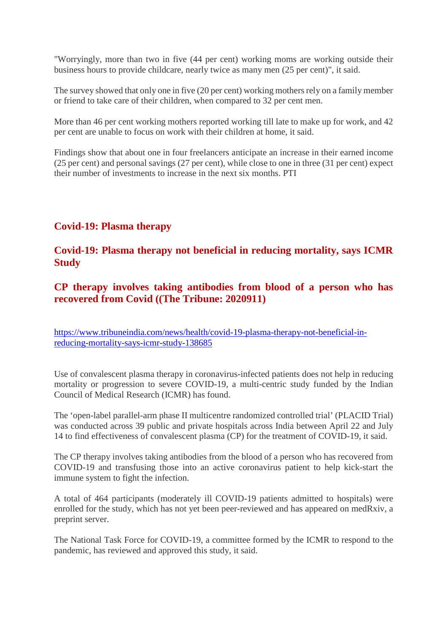"Worryingly, more than two in five (44 per cent) working moms are working outside their business hours to provide childcare, nearly twice as many men (25 per cent)", it said.

The survey showed that only one in five (20 per cent) working mothers rely on a family member or friend to take care of their children, when compared to 32 per cent men.

More than 46 per cent working mothers reported working till late to make up for work, and 42 per cent are unable to focus on work with their children at home, it said.

Findings show that about one in four freelancers anticipate an increase in their earned income (25 per cent) and personal savings (27 per cent), while close to one in three (31 per cent) expect their number of investments to increase in the next six months. PTI

### **Covid-19: Plasma therapy**

#### **Covid-19: Plasma therapy not beneficial in reducing mortality, says ICMR Study**

**CP therapy involves taking antibodies from blood of a person who has recovered from Covid ((The Tribune: 2020911)**

https://www.tribuneindia.com/news/health/covid-19-plasma-therapy-not-beneficial-inreducing-mortality-says-icmr-study-138685

Use of convalescent plasma therapy in coronavirus-infected patients does not help in reducing mortality or progression to severe COVID-19, a multi-centric study funded by the Indian Council of Medical Research (ICMR) has found.

The 'open-label parallel-arm phase II multicentre randomized controlled trial' (PLACID Trial) was conducted across 39 public and private hospitals across India between April 22 and July 14 to find effectiveness of convalescent plasma (CP) for the treatment of COVID-19, it said.

The CP therapy involves taking antibodies from the blood of a person who has recovered from COVID-19 and transfusing those into an active coronavirus patient to help kick-start the immune system to fight the infection.

A total of 464 participants (moderately ill COVID-19 patients admitted to hospitals) were enrolled for the study, which has not yet been peer-reviewed and has appeared on medRxiv, a preprint server.

The National Task Force for COVID-19, a committee formed by the ICMR to respond to the pandemic, has reviewed and approved this study, it said.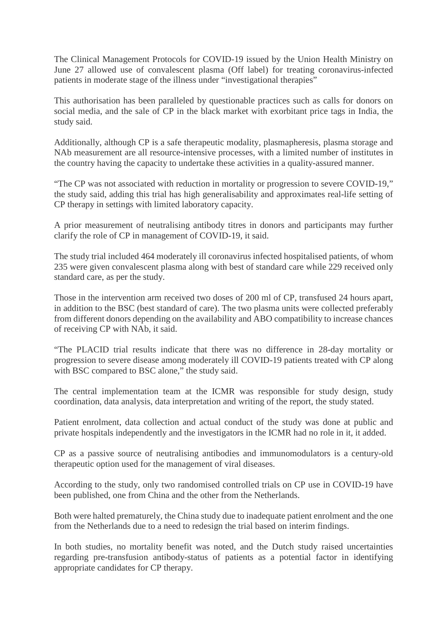The Clinical Management Protocols for COVID-19 issued by the Union Health Ministry on June 27 allowed use of convalescent plasma (Off label) for treating coronavirus-infected patients in moderate stage of the illness under "investigational therapies"

This authorisation has been paralleled by questionable practices such as calls for donors on social media, and the sale of CP in the black market with exorbitant price tags in India, the study said.

Additionally, although CP is a safe therapeutic modality, plasmapheresis, plasma storage and NAb measurement are all resource-intensive processes, with a limited number of institutes in the country having the capacity to undertake these activities in a quality-assured manner.

"The CP was not associated with reduction in mortality or progression to severe COVID-19," the study said, adding this trial has high generalisability and approximates real-life setting of CP therapy in settings with limited laboratory capacity.

A prior measurement of neutralising antibody titres in donors and participants may further clarify the role of CP in management of COVID-19, it said.

The study trial included 464 moderately ill coronavirus infected hospitalised patients, of whom 235 were given convalescent plasma along with best of standard care while 229 received only standard care, as per the study.

Those in the intervention arm received two doses of 200 ml of CP, transfused 24 hours apart, in addition to the BSC (best standard of care). The two plasma units were collected preferably from different donors depending on the availability and ABO compatibility to increase chances of receiving CP with NAb, it said.

"The PLACID trial results indicate that there was no difference in 28-day mortality or progression to severe disease among moderately ill COVID-19 patients treated with CP along with BSC compared to BSC alone," the study said.

The central implementation team at the ICMR was responsible for study design, study coordination, data analysis, data interpretation and writing of the report, the study stated.

Patient enrolment, data collection and actual conduct of the study was done at public and private hospitals independently and the investigators in the ICMR had no role in it, it added.

CP as a passive source of neutralising antibodies and immunomodulators is a century-old therapeutic option used for the management of viral diseases.

According to the study, only two randomised controlled trials on CP use in COVID-19 have been published, one from China and the other from the Netherlands.

Both were halted prematurely, the China study due to inadequate patient enrolment and the one from the Netherlands due to a need to redesign the trial based on interim findings.

In both studies, no mortality benefit was noted, and the Dutch study raised uncertainties regarding pre-transfusion antibody-status of patients as a potential factor in identifying appropriate candidates for CP therapy.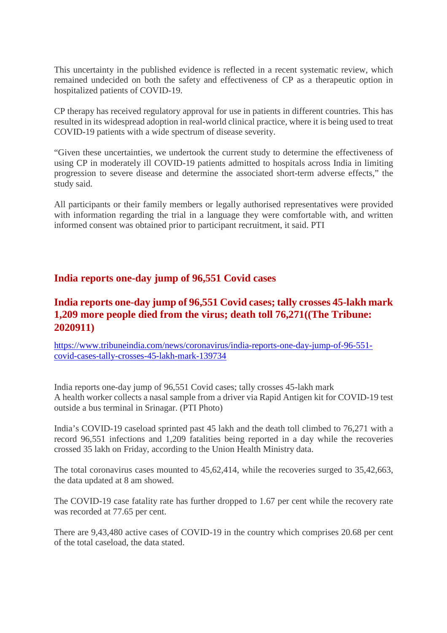This uncertainty in the published evidence is reflected in a recent systematic review, which remained undecided on both the safety and effectiveness of CP as a therapeutic option in hospitalized patients of COVID-19.

CP therapy has received regulatory approval for use in patients in different countries. This has resulted in its widespread adoption in real-world clinical practice, where it is being used to treat COVID-19 patients with a wide spectrum of disease severity.

"Given these uncertainties, we undertook the current study to determine the effectiveness of using CP in moderately ill COVID-19 patients admitted to hospitals across India in limiting progression to severe disease and determine the associated short-term adverse effects," the study said.

All participants or their family members or legally authorised representatives were provided with information regarding the trial in a language they were comfortable with, and written informed consent was obtained prior to participant recruitment, it said. PTI

### **India reports one-day jump of 96,551 Covid cases**

# **India reports one-day jump of 96,551 Covid cases; tally crosses 45-lakh mark 1,209 more people died from the virus; death toll 76,271((The Tribune: 2020911)**

https://www.tribuneindia.com/news/coronavirus/india-reports-one-day-jump-of-96-551 covid-cases-tally-crosses-45-lakh-mark-139734

India reports one-day jump of 96,551 Covid cases; tally crosses 45-lakh mark A health worker collects a nasal sample from a driver via Rapid Antigen kit for COVID-19 test outside a bus terminal in Srinagar. (PTI Photo)

India's COVID-19 caseload sprinted past 45 lakh and the death toll climbed to 76,271 with a record 96,551 infections and 1,209 fatalities being reported in a day while the recoveries crossed 35 lakh on Friday, according to the Union Health Ministry data.

The total coronavirus cases mounted to 45,62,414, while the recoveries surged to 35,42,663, the data updated at 8 am showed.

The COVID-19 case fatality rate has further dropped to 1.67 per cent while the recovery rate was recorded at 77.65 per cent.

There are 9,43,480 active cases of COVID-19 in the country which comprises 20.68 per cent of the total caseload, the data stated.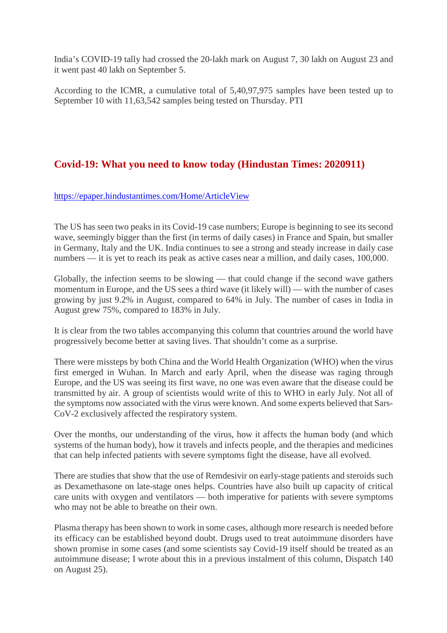India's COVID-19 tally had crossed the 20-lakh mark on August 7, 30 lakh on August 23 and it went past 40 lakh on September 5.

According to the ICMR, a cumulative total of 5,40,97,975 samples have been tested up to September 10 with 11,63,542 samples being tested on Thursday. PTI

## **Covid-19: What you need to know today (Hindustan Times: 2020911)**

https://epaper.hindustantimes.com/Home/ArticleView

The US has seen two peaks in its Covid-19 case numbers; Europe is beginning to see its second wave, seemingly bigger than the first (in terms of daily cases) in France and Spain, but smaller in Germany, Italy and the UK. India continues to see a strong and steady increase in daily case numbers — it is yet to reach its peak as active cases near a million, and daily cases, 100,000.

Globally, the infection seems to be slowing — that could change if the second wave gathers momentum in Europe, and the US sees a third wave (it likely will) — with the number of cases growing by just 9.2% in August, compared to 64% in July. The number of cases in India in August grew 75%, compared to 183% in July.

It is clear from the two tables accompanying this column that countries around the world have progressively become better at saving lives. That shouldn't come as a surprise.

There were missteps by both China and the World Health Organization (WHO) when the virus first emerged in Wuhan. In March and early April, when the disease was raging through Europe, and the US was seeing its first wave, no one was even aware that the disease could be transmitted by air. A group of scientists would write of this to WHO in early July. Not all of the symptoms now associated with the virus were known. And some experts believed that Sars-CoV-2 exclusively affected the respiratory system.

Over the months, our understanding of the virus, how it affects the human body (and which systems of the human body), how it travels and infects people, and the therapies and medicines that can help infected patients with severe symptoms fight the disease, have all evolved.

There are studies that show that the use of Remdesivir on early-stage patients and steroids such as Dexamethasone on late-stage ones helps. Countries have also built up capacity of critical care units with oxygen and ventilators — both imperative for patients with severe symptoms who may not be able to breathe on their own.

Plasma therapy has been shown to work in some cases, although more research is needed before its efficacy can be established beyond doubt. Drugs used to treat autoimmune disorders have shown promise in some cases (and some scientists say Covid-19 itself should be treated as an autoimmune disease; I wrote about this in a previous instalment of this column, Dispatch 140 on August 25).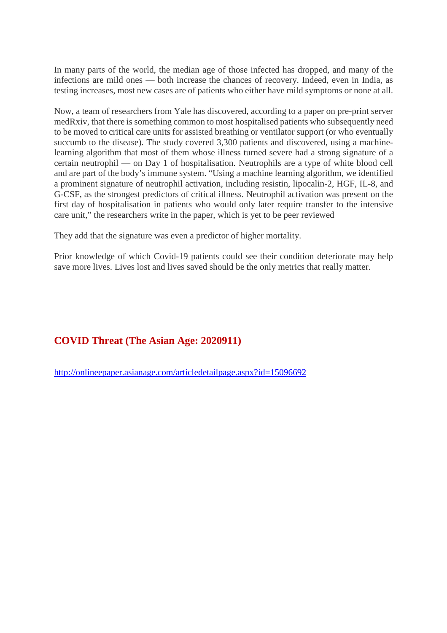In many parts of the world, the median age of those infected has dropped, and many of the infections are mild ones — both increase the chances of recovery. Indeed, even in India, as testing increases, most new cases are of patients who either have mild symptoms or none at all.

Now, a team of researchers from Yale has discovered, according to a paper on pre-print server medRxiv, that there is something common to most hospitalised patients who subsequently need to be moved to critical care units for assisted breathing or ventilator support (or who eventually succumb to the disease). The study covered 3,300 patients and discovered, using a machinelearning algorithm that most of them whose illness turned severe had a strong signature of a certain neutrophil — on Day 1 of hospitalisation. Neutrophils are a type of white blood cell and are part of the body's immune system. "Using a machine learning algorithm, we identified a prominent signature of neutrophil activation, including resistin, lipocalin-2, HGF, IL-8, and G-CSF, as the strongest predictors of critical illness. Neutrophil activation was present on the first day of hospitalisation in patients who would only later require transfer to the intensive care unit," the researchers write in the paper, which is yet to be peer reviewed

They add that the signature was even a predictor of higher mortality.

Prior knowledge of which Covid-19 patients could see their condition deteriorate may help save more lives. Lives lost and lives saved should be the only metrics that really matter.

### **COVID Threat (The Asian Age: 2020911)**

http://onlineepaper.asianage.com/articledetailpage.aspx?id=15096692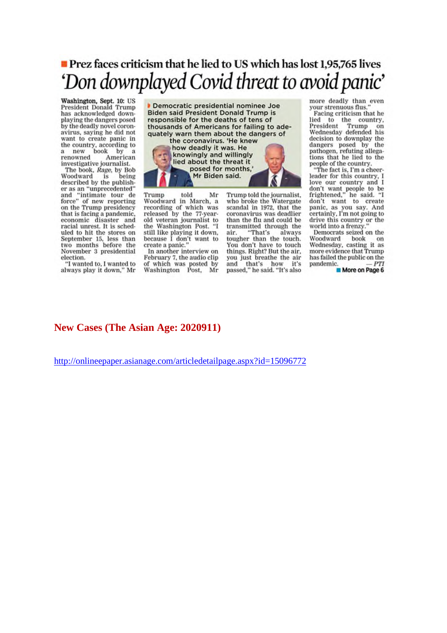# **Prez faces criticism that he lied to US which has lost 1.95.765 lives** 'Don downplayed Covid threat to avoid panic'

Washington, Sept. 10: US President Donald Trump has acknowledged downplaying the dangers posed by the deadly novel coronavirus, saying he did not want to create panic in the country, according to the country, according<br>a new book by<br>renowned Ameri<br>investigative iournalis American investigative journalist.

The book, Rage, by Bob Woodward is being described by the publisher as an "unprecedented" and "intimate tour de<br>force" of new reporting on the Trump presidency that is facing a pandemic, economic disaster and racial unrest. It is scheduled to hit the stores on September 15, less than two months before the November 3 presidential election.

"I wanted to, I wanted to always play it down," Mr

Democratic presidential nominee Joe **Biden said President Donald Trump is** responsible for the deaths of tens of thousands of Americans for failing to adequately warn them about the dangers of the coronavirus. 'He knew how deadly it was. He knowingly and willingly lied about the threat it posed for months,'

Mr Biden said.

Trump told Mr Woodward in March, a recording of which was<br>released by the 77-yearold veteran journalist to<br>the Washington Post. "I still like playing it down,<br>because I don't want to create a panic.'

In another interview on February 7, the audio clip of which was posted by Washington Post, Mr Trump told the journalist,<br>who broke the Watergate scandal in 1972, that the coronavirus was deadlier than the flu and could be transmitted through the air. "That's always tougher than the touch. You don't have to touch things. Right? But the air, you just breathe the air<br>and that's how it's passed," he said. "It's also

more deadly than even your strenuous flus."

Facing criticism that he lied to the country,<br>President Trump on<br>Wednesday defended his decision to downplay the dangers posed by the pathogen, refuting allegations that he lied to the people of the country.

"The fact is, I'm a cheerleader for this country, I reader for this country, and I<br>don't want people to be<br>frightened," he said. "I<br>don't want to create<br>panic, as you say. And<br>certainly, I'm not going to drive this country or the world into a frenzy.

Democrats seized on the Woodward book on Wednesday, casting it as more evidence that Trump has failed the public on the pandemic.

More on Page 6

#### **New Cases (The Asian Age: 2020911)**

http://onlineepaper.asianage.com/articledetailpage.aspx?id=15096772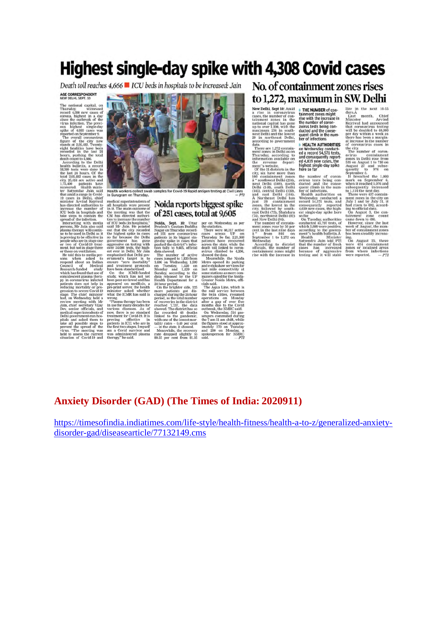# Highest single-day spike with 4,308 Covid cases

Death toll reaches 4,666 LICU beds in hospitals to be increased: Jain

#### AGE CORRESPONDENT



# No. of containment zones rises to 1.272, maximum in S.W. Delhi

New Delhi, Sept 16.<br>
Report of a rise in coronavirus<br>
a rise in coronavirus<br>
tantinonal capital has general to the maximum 234 in source<br>
maximum 234 in south-<br>
west Delhi and the lowest<br>
29 in northeast Delhi.<br>
according acco<br>data

ccording to government<br>There are 1,272 contain-<br>nent zones in Delhi as on<br>"borsday" according 10

and, and particles are the particle of the transfer and the same in methods of extending the minimum cannot in the minimum cannot in the same of a record of  $\sim$  1.374 (and the same of the same of the same of the same of

THE NUMBER of con-<br>tainment zones might<br>rise with the increase in<br>the number of coron-<br>avirus tests being<br>conducted and the conse-<br>quent climb in the num-<br>ber of infections

**HEALTH AUTHORITIES In Wednesday conduction**<br>ed a record 54,571 tests,<br>ed a record 54,571 tests,<br>and consequently report-<br>highest single-day spike<br>here so far

**DATE:** in the next 10-15<br>days. I and the next 10-16<br>days. I and the next 10-16<br>Minister Carolina and monomed<br>that coronavirus testing<br>will be doubled to 40,000<br>an increase in the number<br>the city.<br>The nomavirus cases in<br>av

# **Anxiety Disorder (GAD) (The Times of India: 2020911)**

https://timesofindia.indiatimes.com/life-style/health-fitness/health-a-to-z/generalized-anxietydisorder-gad/diseasearticle/77132149.cms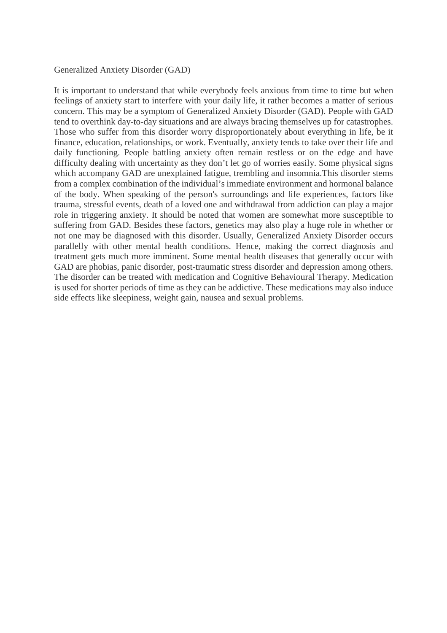#### Generalized Anxiety Disorder (GAD)

It is important to understand that while everybody feels anxious from time to time but when feelings of anxiety start to interfere with your daily life, it rather becomes a matter of serious concern. This may be a symptom of Generalized Anxiety Disorder (GAD). People with GAD tend to overthink day-to-day situations and are always bracing themselves up for catastrophes. Those who suffer from this disorder worry disproportionately about everything in life, be it finance, education, relationships, or work. Eventually, anxiety tends to take over their life and daily functioning. People battling anxiety often remain restless or on the edge and have difficulty dealing with uncertainty as they don't let go of worries easily. Some physical signs which accompany GAD are unexplained fatigue, trembling and insomnia.This disorder stems from a complex combination of the individual's immediate environment and hormonal balance of the body. When speaking of the person's surroundings and life experiences, factors like trauma, stressful events, death of a loved one and withdrawal from addiction can play a major role in triggering anxiety. It should be noted that women are somewhat more susceptible to suffering from GAD. Besides these factors, genetics may also play a huge role in whether or not one may be diagnosed with this disorder. Usually, Generalized Anxiety Disorder occurs parallelly with other mental health conditions. Hence, making the correct diagnosis and treatment gets much more imminent. Some mental health diseases that generally occur with GAD are phobias, panic disorder, post-traumatic stress disorder and depression among others. The disorder can be treated with medication and Cognitive Behavioural Therapy. Medication is used for shorter periods of time as they can be addictive. These medications may also induce side effects like sleepiness, weight gain, nausea and sexual problems.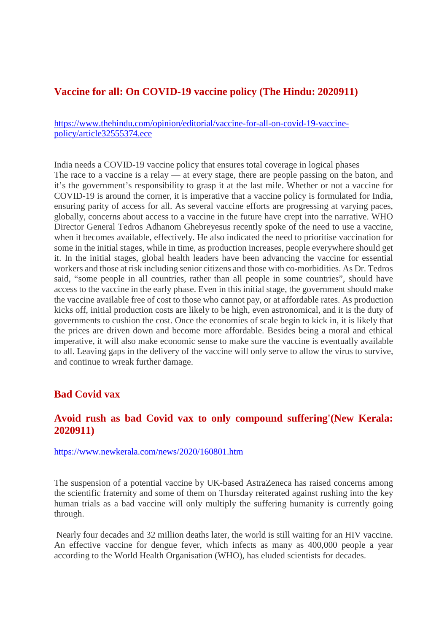#### **Vaccine for all: On COVID-19 vaccine policy (The Hindu: 2020911)**

https://www.thehindu.com/opinion/editorial/vaccine-for-all-on-covid-19-vaccinepolicy/article32555374.ece

India needs a COVID-19 vaccine policy that ensures total coverage in logical phases The race to a vaccine is a relay — at every stage, there are people passing on the baton, and it's the government's responsibility to grasp it at the last mile. Whether or not a vaccine for COVID-19 is around the corner, it is imperative that a vaccine policy is formulated for India, ensuring parity of access for all. As several vaccine efforts are progressing at varying paces, globally, concerns about access to a vaccine in the future have crept into the narrative. WHO Director General Tedros Adhanom Ghebreyesus recently spoke of the need to use a vaccine, when it becomes available, effectively. He also indicated the need to prioritise vaccination for some in the initial stages, while in time, as production increases, people everywhere should get it. In the initial stages, global health leaders have been advancing the vaccine for essential workers and those at risk including senior citizens and those with co-morbidities. As Dr. Tedros said, "some people in all countries, rather than all people in some countries", should have access to the vaccine in the early phase. Even in this initial stage, the government should make the vaccine available free of cost to those who cannot pay, or at affordable rates. As production kicks off, initial production costs are likely to be high, even astronomical, and it is the duty of governments to cushion the cost. Once the economies of scale begin to kick in, it is likely that the prices are driven down and become more affordable. Besides being a moral and ethical imperative, it will also make economic sense to make sure the vaccine is eventually available to all. Leaving gaps in the delivery of the vaccine will only serve to allow the virus to survive, and continue to wreak further damage.

#### **Bad Covid vax**

#### **Avoid rush as bad Covid vax to only compound suffering'(New Kerala: 2020911)**

https://www.newkerala.com/news/2020/160801.htm

The suspension of a potential vaccine by UK-based AstraZeneca has raised concerns among the scientific fraternity and some of them on Thursday reiterated against rushing into the key human trials as a bad vaccine will only multiply the suffering humanity is currently going through.

Nearly four decades and 32 million deaths later, the world is still waiting for an HIV vaccine. An effective vaccine for dengue fever, which infects as many as 400,000 people a year according to the World Health Organisation (WHO), has eluded scientists for decades.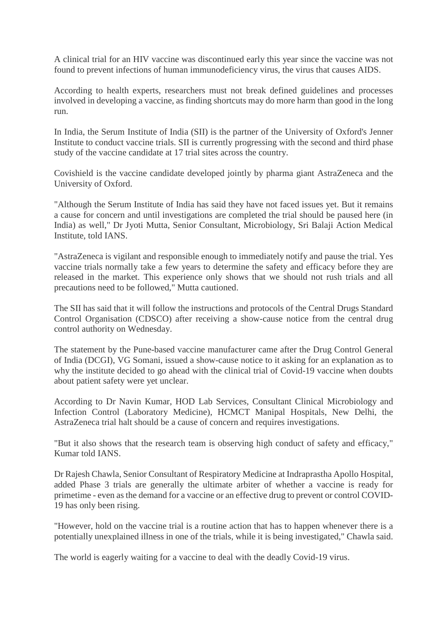A clinical trial for an HIV vaccine was discontinued early this year since the vaccine was not found to prevent infections of human immunodeficiency virus, the virus that causes AIDS.

According to health experts, researchers must not break defined guidelines and processes involved in developing a vaccine, as finding shortcuts may do more harm than good in the long run.

In India, the Serum Institute of India (SII) is the partner of the University of Oxford's Jenner Institute to conduct vaccine trials. SII is currently progressing with the second and third phase study of the vaccine candidate at 17 trial sites across the country.

Covishield is the vaccine candidate developed jointly by pharma giant AstraZeneca and the University of Oxford.

"Although the Serum Institute of India has said they have not faced issues yet. But it remains a cause for concern and until investigations are completed the trial should be paused here (in India) as well," Dr Jyoti Mutta, Senior Consultant, Microbiology, Sri Balaji Action Medical Institute, told IANS.

"AstraZeneca is vigilant and responsible enough to immediately notify and pause the trial. Yes vaccine trials normally take a few years to determine the safety and efficacy before they are released in the market. This experience only shows that we should not rush trials and all precautions need to be followed," Mutta cautioned.

The SII has said that it will follow the instructions and protocols of the Central Drugs Standard Control Organisation (CDSCO) after receiving a show-cause notice from the central drug control authority on Wednesday.

The statement by the Pune-based vaccine manufacturer came after the Drug Control General of India (DCGI), VG Somani, issued a show-cause notice to it asking for an explanation as to why the institute decided to go ahead with the clinical trial of Covid-19 vaccine when doubts about patient safety were yet unclear.

According to Dr Navin Kumar, HOD Lab Services, Consultant Clinical Microbiology and Infection Control (Laboratory Medicine), HCMCT Manipal Hospitals, New Delhi, the AstraZeneca trial halt should be a cause of concern and requires investigations.

"But it also shows that the research team is observing high conduct of safety and efficacy," Kumar told IANS.

Dr Rajesh Chawla, Senior Consultant of Respiratory Medicine at Indraprastha Apollo Hospital, added Phase 3 trials are generally the ultimate arbiter of whether a vaccine is ready for primetime - even as the demand for a vaccine or an effective drug to prevent or control COVID-19 has only been rising.

"However, hold on the vaccine trial is a routine action that has to happen whenever there is a potentially unexplained illness in one of the trials, while it is being investigated," Chawla said.

The world is eagerly waiting for a vaccine to deal with the deadly Covid-19 virus.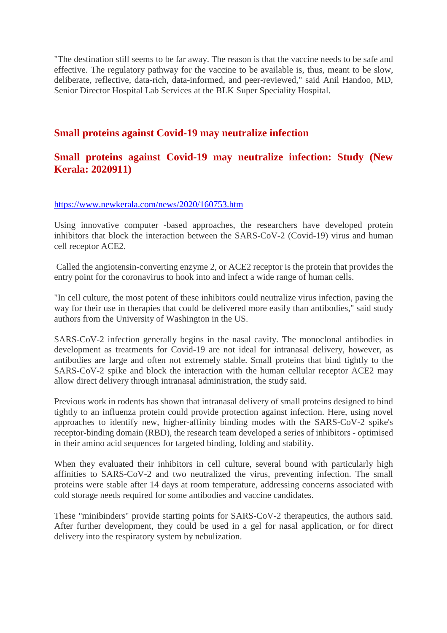"The destination still seems to be far away. The reason is that the vaccine needs to be safe and effective. The regulatory pathway for the vaccine to be available is, thus, meant to be slow, deliberate, reflective, data-rich, data-informed, and peer-reviewed," said Anil Handoo, MD, Senior Director Hospital Lab Services at the BLK Super Speciality Hospital.

#### **Small proteins against Covid-19 may neutralize infection**

#### **Small proteins against Covid-19 may neutralize infection: Study (New Kerala: 2020911)**

#### https://www.newkerala.com/news/2020/160753.htm

Using innovative computer -based approaches, the researchers have developed protein inhibitors that block the interaction between the SARS-CoV-2 (Covid-19) virus and human cell receptor ACE2.

Called the angiotensin-converting enzyme 2, or ACE2 receptor is the protein that provides the entry point for the coronavirus to hook into and infect a wide range of human cells.

"In cell culture, the most potent of these inhibitors could neutralize virus infection, paving the way for their use in therapies that could be delivered more easily than antibodies," said study authors from the University of Washington in the US.

SARS-CoV-2 infection generally begins in the nasal cavity. The monoclonal antibodies in development as treatments for Covid-19 are not ideal for intranasal delivery, however, as antibodies are large and often not extremely stable. Small proteins that bind tightly to the SARS-CoV-2 spike and block the interaction with the human cellular receptor ACE2 may allow direct delivery through intranasal administration, the study said.

Previous work in rodents has shown that intranasal delivery of small proteins designed to bind tightly to an influenza protein could provide protection against infection. Here, using novel approaches to identify new, higher-affinity binding modes with the SARS-CoV-2 spike's receptor-binding domain (RBD), the research team developed a series of inhibitors - optimised in their amino acid sequences for targeted binding, folding and stability.

When they evaluated their inhibitors in cell culture, several bound with particularly high affinities to SARS-CoV-2 and two neutralized the virus, preventing infection. The small proteins were stable after 14 days at room temperature, addressing concerns associated with cold storage needs required for some antibodies and vaccine candidates.

These "minibinders" provide starting points for SARS-CoV-2 therapeutics, the authors said. After further development, they could be used in a gel for nasal application, or for direct delivery into the respiratory system by nebulization.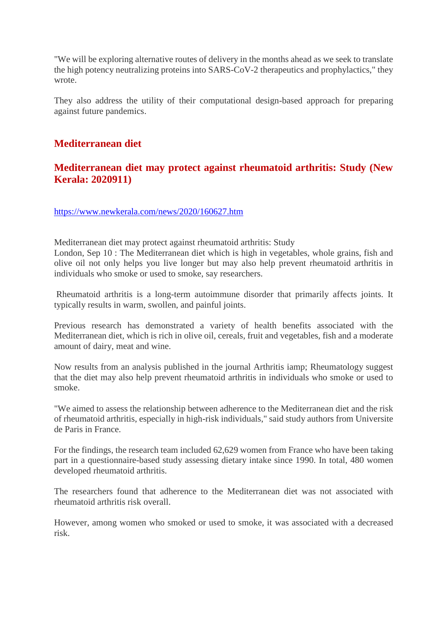"We will be exploring alternative routes of delivery in the months ahead as we seek to translate the high potency neutralizing proteins into SARS-CoV-2 therapeutics and prophylactics," they wrote.

They also address the utility of their computational design-based approach for preparing against future pandemics.

# **Mediterranean diet**

# **Mediterranean diet may protect against rheumatoid arthritis: Study (New Kerala: 2020911)**

https://www.newkerala.com/news/2020/160627.htm

Mediterranean diet may protect against rheumatoid arthritis: Study

London, Sep 10 : The Mediterranean diet which is high in vegetables, whole grains, fish and olive oil not only helps you live longer but may also help prevent rheumatoid arthritis in individuals who smoke or used to smoke, say researchers.

Rheumatoid arthritis is a long-term autoimmune disorder that primarily affects joints. It typically results in warm, swollen, and painful joints.

Previous research has demonstrated a variety of health benefits associated with the Mediterranean diet, which is rich in olive oil, cereals, fruit and vegetables, fish and a moderate amount of dairy, meat and wine.

Now results from an analysis published in the journal Arthritis iamp; Rheumatology suggest that the diet may also help prevent rheumatoid arthritis in individuals who smoke or used to smoke.

"We aimed to assess the relationship between adherence to the Mediterranean diet and the risk of rheumatoid arthritis, especially in high-risk individuals," said study authors from Universite de Paris in France.

For the findings, the research team included 62,629 women from France who have been taking part in a questionnaire-based study assessing dietary intake since 1990. In total, 480 women developed rheumatoid arthritis.

The researchers found that adherence to the Mediterranean diet was not associated with rheumatoid arthritis risk overall.

However, among women who smoked or used to smoke, it was associated with a decreased risk.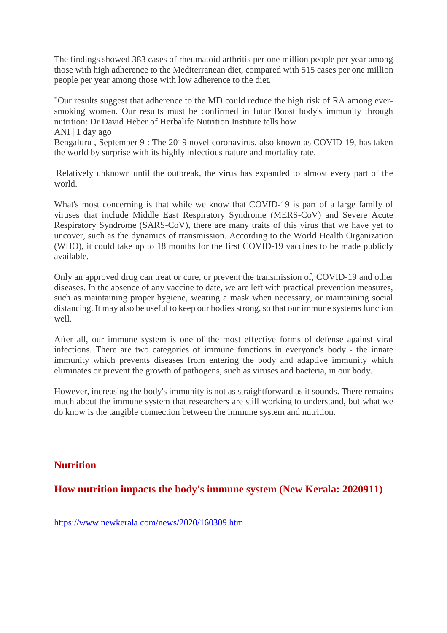The findings showed 383 cases of rheumatoid arthritis per one million people per year among those with high adherence to the Mediterranean diet, compared with 515 cases per one million people per year among those with low adherence to the diet.

"Our results suggest that adherence to the MD could reduce the high risk of RA among eversmoking women. Our results must be confirmed in futur Boost body's immunity through nutrition: Dr David Heber of Herbalife Nutrition Institute tells how ANI | 1 day ago

Bengaluru , September 9 : The 2019 novel coronavirus, also known as COVID-19, has taken the world by surprise with its highly infectious nature and mortality rate.

Relatively unknown until the outbreak, the virus has expanded to almost every part of the world.

What's most concerning is that while we know that COVID-19 is part of a large family of viruses that include Middle East Respiratory Syndrome (MERS-CoV) and Severe Acute Respiratory Syndrome (SARS-CoV), there are many traits of this virus that we have yet to uncover, such as the dynamics of transmission. According to the World Health Organization (WHO), it could take up to 18 months for the first COVID-19 vaccines to be made publicly available.

Only an approved drug can treat or cure, or prevent the transmission of, COVID-19 and other diseases. In the absence of any vaccine to date, we are left with practical prevention measures, such as maintaining proper hygiene, wearing a mask when necessary, or maintaining social distancing. It may also be useful to keep our bodies strong, so that our immune systems function well.

After all, our immune system is one of the most effective forms of defense against viral infections. There are two categories of immune functions in everyone's body - the innate immunity which prevents diseases from entering the body and adaptive immunity which eliminates or prevent the growth of pathogens, such as viruses and bacteria, in our body.

However, increasing the body's immunity is not as straightforward as it sounds. There remains much about the immune system that researchers are still working to understand, but what we do know is the tangible connection between the immune system and nutrition.

#### **Nutrition**

**How nutrition impacts the body's immune system (New Kerala: 2020911)**

https://www.newkerala.com/news/2020/160309.htm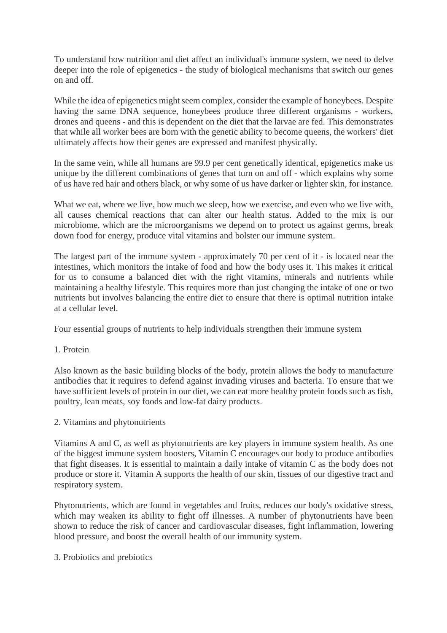To understand how nutrition and diet affect an individual's immune system, we need to delve deeper into the role of epigenetics - the study of biological mechanisms that switch our genes on and off.

While the idea of epigenetics might seem complex, consider the example of honeybees. Despite having the same DNA sequence, honeybees produce three different organisms - workers, drones and queens - and this is dependent on the diet that the larvae are fed. This demonstrates that while all worker bees are born with the genetic ability to become queens, the workers' diet ultimately affects how their genes are expressed and manifest physically.

In the same vein, while all humans are 99.9 per cent genetically identical, epigenetics make us unique by the different combinations of genes that turn on and off - which explains why some of us have red hair and others black, or why some of us have darker or lighter skin, for instance.

What we eat, where we live, how much we sleep, how we exercise, and even who we live with, all causes chemical reactions that can alter our health status. Added to the mix is our microbiome, which are the microorganisms we depend on to protect us against germs, break down food for energy, produce vital vitamins and bolster our immune system.

The largest part of the immune system - approximately 70 per cent of it - is located near the intestines, which monitors the intake of food and how the body uses it. This makes it critical for us to consume a balanced diet with the right vitamins, minerals and nutrients while maintaining a healthy lifestyle. This requires more than just changing the intake of one or two nutrients but involves balancing the entire diet to ensure that there is optimal nutrition intake at a cellular level.

Four essential groups of nutrients to help individuals strengthen their immune system

#### 1. Protein

Also known as the basic building blocks of the body, protein allows the body to manufacture antibodies that it requires to defend against invading viruses and bacteria. To ensure that we have sufficient levels of protein in our diet, we can eat more healthy protein foods such as fish, poultry, lean meats, soy foods and low-fat dairy products.

2. Vitamins and phytonutrients

Vitamins A and C, as well as phytonutrients are key players in immune system health. As one of the biggest immune system boosters, Vitamin C encourages our body to produce antibodies that fight diseases. It is essential to maintain a daily intake of vitamin C as the body does not produce or store it. Vitamin A supports the health of our skin, tissues of our digestive tract and respiratory system.

Phytonutrients, which are found in vegetables and fruits, reduces our body's oxidative stress, which may weaken its ability to fight off illnesses. A number of phytonutrients have been shown to reduce the risk of cancer and cardiovascular diseases, fight inflammation, lowering blood pressure, and boost the overall health of our immunity system.

3. Probiotics and prebiotics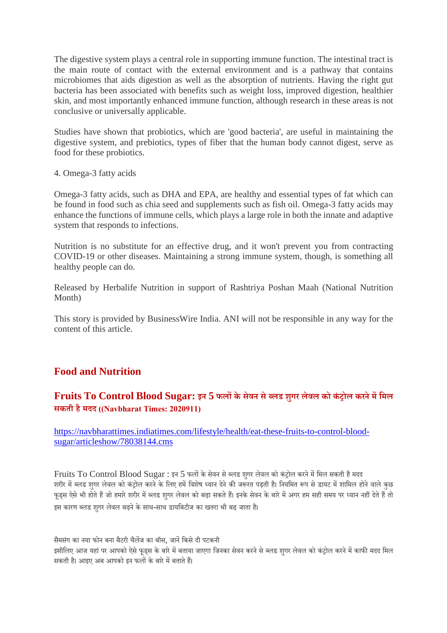The digestive system plays a central role in supporting immune function. The intestinal tract is the main route of contact with the external environment and is a pathway that contains microbiomes that aids digestion as well as the absorption of nutrients. Having the right gut bacteria has been associated with benefits such as weight loss, improved digestion, healthier skin, and most importantly enhanced immune function, although research in these areas is not conclusive or universally applicable.

Studies have shown that probiotics, which are 'good bacteria', are useful in maintaining the digestive system, and prebiotics, types of fiber that the human body cannot digest, serve as food for these probiotics.

4. Omega-3 fatty acids

Omega-3 fatty acids, such as DHA and EPA, are healthy and essential types of fat which can be found in food such as chia seed and supplements such as fish oil. Omega-3 fatty acids may enhance the functions of immune cells, which plays a large role in both the innate and adaptive system that responds to infections.

Nutrition is no substitute for an effective drug, and it won't prevent you from contracting COVID-19 or other diseases. Maintaining a strong immune system, though, is something all healthy people can do.

Released by Herbalife Nutrition in support of Rashtriya Poshan Maah (National Nutrition Month)

This story is provided by BusinessWire India. ANI will not be responsible in any way for the content of this article.

# **Food and Nutrition**

# **Fruits To Control Blood Sugar: इन 5 फलके सेवन सेलड शुगर लेवल को कंोल करनेमिमल सकती हैमदद ((Navbharat Times: 2020911)**

https://navbharattimes.indiatimes.com/lifestyle/health/eat-these-fruits-to-control-bloodsugar/articleshow/78038144.cms

Fruits To Control Blood Sugar : इन 5 फलों के सेवन से ब्लड शुगर लेवल को कंट्रोल करने में मिल सकती है मदद शरीर में ब्लड शुगर लेवल को कंट्रोल करने के लिए हमें विशेष ध्यान देने की जरूरत पड़ती है। नियमित रूप से डायट में शामिल होने वाले कुछ फूड्स ऐसे भी होते हैं जो हमारे शरीर में ब्लड शुगर लेवल को बढ़ा सकते हैं। इनके सेवन के बारे में अगर हम सही समय पर ध्यान नहीं देते हैं तो इस कारण ब्लड शगर लेवल बढ़ने के साथ-साथ डायबिटीज का खतरा भी बढ़ जाता है।

सैमसंग का नया फोन बना बैटरी चैलज का बॉस, जानिकसेदी पटकनी इसीलिए आज यहां पर आपको ऐसे फूडस के बारे में बताया जाएगा जिनका सेवन करने से ब्लड शगर लेवल को कंट्रोल करने में काफी मदद मिल सकती है। आइए अब आपको इन फलों के बारे में बताते हैं।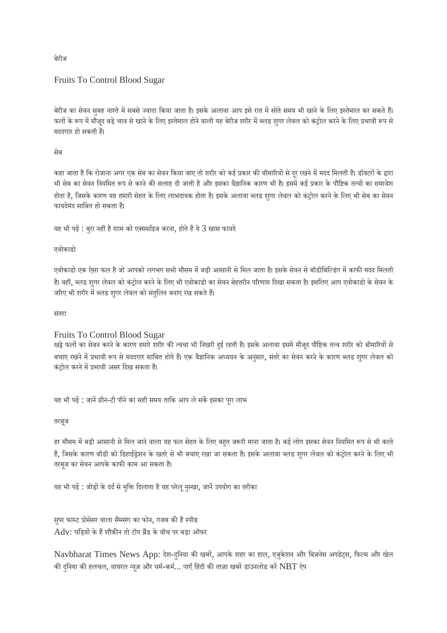# Fruits To Control Blood Sugar

बेरीज का सेवन सुबह नाश्ते में सबसे ज्यादा किया जाता है। इसके अलावा आप इसे रात में सोते समय भी खाने के लिए इस्तेमाल कर सकते हैं। फलों के रूप में मौजूद बड़े चाव से खाने के लिए इस्तेमाल होने वाली यह बेरीज शरीर में ब्लड शुगर लेवल को कंट्रोल करने के लिए प्रभावी रूप से मददगार हो सकती ह।

#### सेब

कहा जाता है कि रोजाना अगर एक सेब का सेवन किया जाए तो शरीर को कई प्रकार की बीमारियों से दूर रखने में मदद मिलती है। डॉक्टरों के द्वारा भी सेब का सेवन नियमित रूप से करने की सलाह दी जाती है और इसका वैज्ञानिक कारण भी है। इसमें कई प्रकार के पौष्टिक तत्वों का समावेश होता है, जिसके कारण यह हमारी सेहत के लिए लाभदायक होता है। इसके अलावा ब्लड शुगर लेवल को कंट्रोल करने के लिए भी सेब का सेवन फायदेमंद सािबत हो सकता ह।ै

यह भी पढ़ें : बुरा नहीं है शाम को एक्सर्साइज करना, होते हैं ये 3 खास फायदे

#### एवोकाडो

एवोकाडो एक ऐसा फल है जो आपको लगभग सभी मौसम में बड़ी आसानी से मिल जाता है। इसके सेवन से बॉडीबिल्डिंग में काफी मदद मिलती है। वहीं, ब्लड शुगर लेवल को कंट्रोल करने के लिए भी एवोकाडो का सेवन बेहतरीन परिणाम दिखा सकता है। इसलिए आप एवोकाडो के सेवन के जरिए भी शरीर में ब्लड शुगर लेवल को संतुलित बनाए रख सकते हैं।

संतरा

#### Fruits To Control Blood Sugar

खट्टे फलों का सेवन करने के कारण हमारे शरीर की त्वचा भी निखरी हुई रहती है। इसके अलावा इसमें मौजूद पौष्टिक तत्व शरीर को बीमारियों से बचाए रखने में प्रभावी रूप से मददगार साबित होते हैं। एक वैज्ञानिक अध्ययन के अनुसार, संतरे का सेवन करने के कारण ब्लड शुगर लेवल को कंटोल करने में प्रभावी असर दिख सकता है।

यह भी पढ़ें : जानें ग्रीन-टी पीने का सही समय ताकि आप ले सकें इसका पूरा लाभ

#### तरबूज

हर मौसम में बड़ी आसानी से मिल जाने वाला यह फल सेहत के लिए बहुत जरूरी माना जाता है। कई लोग इसका सेवन नियमित रूप से भी करते हैं, जिसके कारण बॉडी को डिहाईड्रेशन के खतरे से भी बचाए रखा जा सकता है। इसके अलावा ब्लड शुगर लेवल को कंट्रोल करने के लिए भी तरबूज का सेवन आपके काफी काम आ सकता है।

यह भी पढ़ें : जोड़ों के दर्द से मुक्ति दिलाता है यह घरेलू नुस्खा, जानें उपयोग का तरीका

सुपर फास्ट प्रोसेसर वाला सैमसंग का फोन, गजब की है स्पीड  $\overline{\text{Adv}}$ : घड़ियों के हैं शौकीन तो टॉप ब्रैंड के वॉच पर बड़ा ऑफर

Navbharat Times News App: देश-दुनिया की खबरें, आपके शहर का हाल, एजुकेशन और बिज़नेस अपडेट्स, फिल्म और खेल की दुनिया की हलचल, वायरल न्यूज़ और धर्म-कर्म... पाएँ हिंदी की ताज़ा खबरें डाउनलोड करें  $\operatorname{NBT}$  ऐप

बेरीज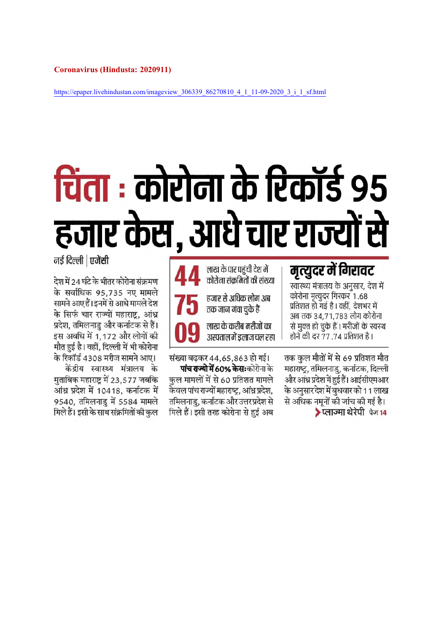https://epaper.livehindustan.com/imageview\_306339\_86270810\_4\_1\_11-09-2020\_3\_i\_1\_sf.html

# चिंता : कोरोना के रिकॉर्ड 95 हजार केस, आधे चार राज्यों से

केवल पांच राज्यों महाराष्ट्र, आंध्र प्रदेश,

मिले हैं। इसी तरह कोरोना से हुई अब

# नई दिल्ली | एजेंसी

देश में 24 घंटे के भीतर कोरोना संक्रमण के सर्वाधिक 95,735 नए मामले सामने आए हैं। इनमें से आधे मामले देश के सिर्फ चार राज्यों महाराष्ट, आंध्र प्रदेश, तमिलनाडु और कर्नाटक से हैं। इस अवधि में 1,172 और लोगों की मौत हुई है। वहीं, दिल्ली में भी कोरोना के रिकॉर्ड 4308 मरीज सामने आए।

केंद्रीय स्वास्थ्य मंत्रालय के मुताबिक महाराष्ट्र में 23,577 जबकि आंध्र प्रदेश में 10418, कर्नाटक में 9540, तमिलनाडु में 5584 मामले मिले हैं। इसी के साथ संक्रमितों की कुल

मृत्युदर में गिरावट लाख के पार पहंची देश में कोरोना संकमितों की संख्या स्वास्थ्य मंत्रालय के अनुसार, देश में कोरोना मृत्युदर गिरकर 1.68 हजार से अधिक लोग अब प्रतिशत हो गई है। वहीं, देशभर में तक जान गंवा चुके हैं अब तक 34,71,783 लोग कोरोना लाख के करीब मरीजों का से मुक्त हो चुके हैं। मरीजों के स्वस्थ होने की दर 77.74 प्रतिशत है। अस्पताल में इलाज चल रहा संख्या बढकर 44,65,863 हो गई। पांच राज्यो में 60% केसः कोरोना के

तक कुल मौतों में से 69 प्रतिशत मौत महाराष्ट्र, तमिलनाडु, कर्नाटक, दिल्ली कुल मामलों में से 60 प्रतिशत मामले और आंध्र प्रदेश में हुई हैं। आईसीएमआर के अनुसार देश में बुधवार को 11 लाख तमिलनाडु, कर्नाटक और उत्तर प्रदेश से से अधिक नमूनों की जांच की गई है। ▶प्लाज्मा थेरेपी पेज 14